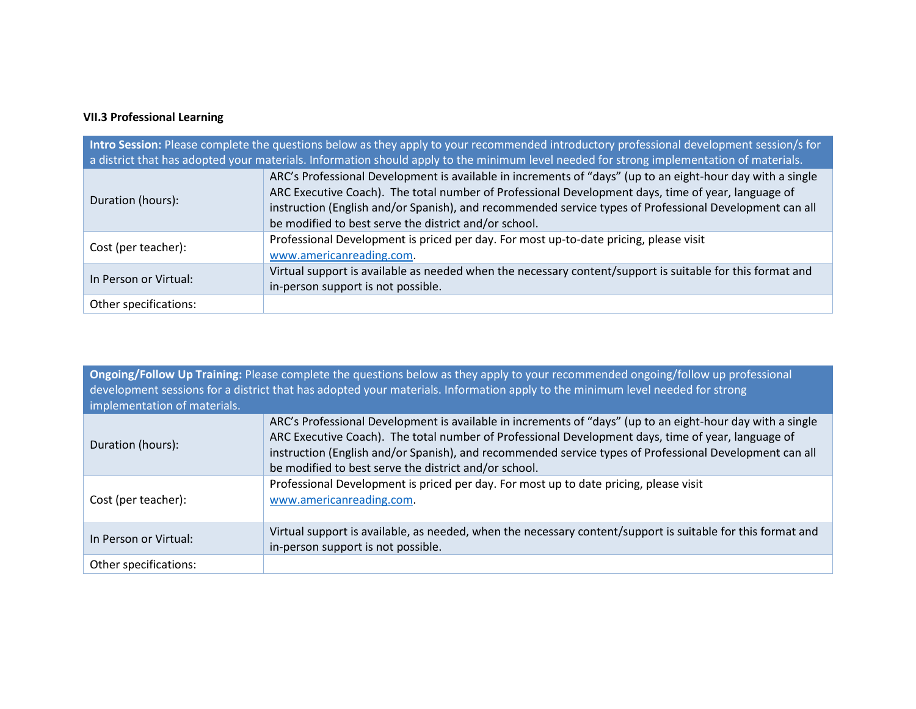## **VII.3 Professional Learning**

| Intro Session: Please complete the questions below as they apply to your recommended introductory professional development session/s for<br>a district that has adopted your materials. Information should apply to the minimum level needed for strong implementation of materials. |                                                                                                                                                                                                                                                                                                                                                                                      |  |
|--------------------------------------------------------------------------------------------------------------------------------------------------------------------------------------------------------------------------------------------------------------------------------------|--------------------------------------------------------------------------------------------------------------------------------------------------------------------------------------------------------------------------------------------------------------------------------------------------------------------------------------------------------------------------------------|--|
| Duration (hours):                                                                                                                                                                                                                                                                    | ARC's Professional Development is available in increments of "days" (up to an eight-hour day with a single<br>ARC Executive Coach). The total number of Professional Development days, time of year, language of<br>instruction (English and/or Spanish), and recommended service types of Professional Development can all<br>be modified to best serve the district and/or school. |  |
| Cost (per teacher):                                                                                                                                                                                                                                                                  | Professional Development is priced per day. For most up-to-date pricing, please visit<br>www.americanreading.com.                                                                                                                                                                                                                                                                    |  |
| In Person or Virtual:                                                                                                                                                                                                                                                                | Virtual support is available as needed when the necessary content/support is suitable for this format and<br>in-person support is not possible.                                                                                                                                                                                                                                      |  |
| Other specifications:                                                                                                                                                                                                                                                                |                                                                                                                                                                                                                                                                                                                                                                                      |  |

**Ongoing/Follow Up Training:** Please complete the questions below as they apply to your recommended ongoing/follow up professional development sessions for a district that has adopted your materials. Information apply to the minimum level needed for strong implementation of materials.

| Duration (hours):     | ARC's Professional Development is available in increments of "days" (up to an eight-hour day with a single<br>ARC Executive Coach). The total number of Professional Development days, time of year, language of<br>instruction (English and/or Spanish), and recommended service types of Professional Development can all<br>be modified to best serve the district and/or school. |
|-----------------------|--------------------------------------------------------------------------------------------------------------------------------------------------------------------------------------------------------------------------------------------------------------------------------------------------------------------------------------------------------------------------------------|
| Cost (per teacher):   | Professional Development is priced per day. For most up to date pricing, please visit<br>www.americanreading.com.                                                                                                                                                                                                                                                                    |
| In Person or Virtual: | Virtual support is available, as needed, when the necessary content/support is suitable for this format and<br>in-person support is not possible.                                                                                                                                                                                                                                    |
| Other specifications: |                                                                                                                                                                                                                                                                                                                                                                                      |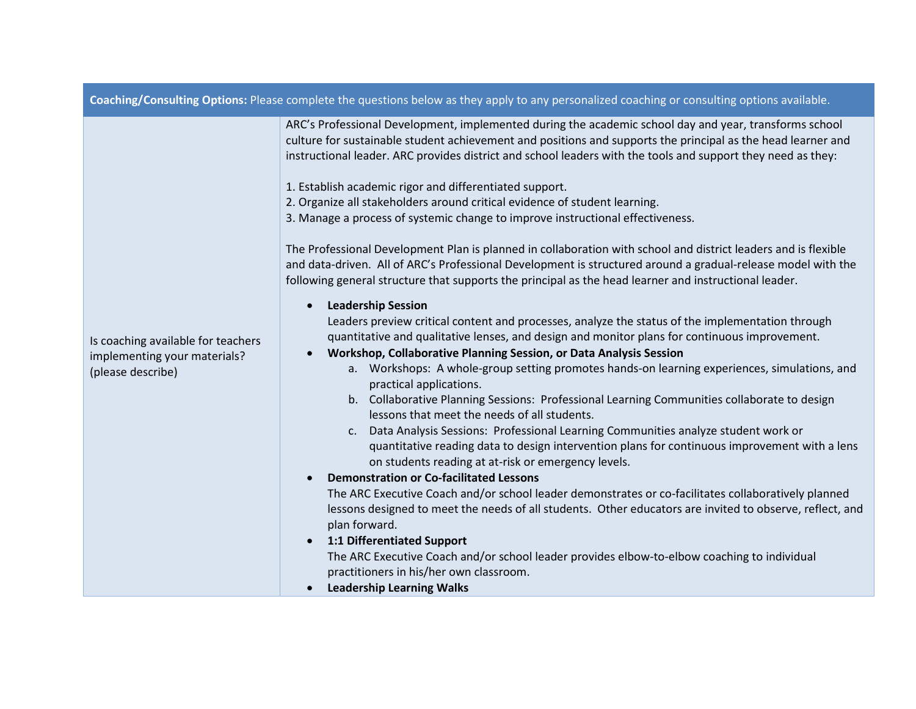| Coaching/Consulting Options: Please complete the questions below as they apply to any personalized coaching or consulting options available. |                                                                                                                                                                                                                                                                                                                                                                                                                                                                                                                                                                                                                                                                                                                                                                                                                                                                                                                                                                                                                                                                                                                                                                                                                                                                                                                                                                                                                                                                                                                                                                                                                                                                                                                                                                                                                                                                                                                                                                                                                                                                                                                                                                                                                       |  |
|----------------------------------------------------------------------------------------------------------------------------------------------|-----------------------------------------------------------------------------------------------------------------------------------------------------------------------------------------------------------------------------------------------------------------------------------------------------------------------------------------------------------------------------------------------------------------------------------------------------------------------------------------------------------------------------------------------------------------------------------------------------------------------------------------------------------------------------------------------------------------------------------------------------------------------------------------------------------------------------------------------------------------------------------------------------------------------------------------------------------------------------------------------------------------------------------------------------------------------------------------------------------------------------------------------------------------------------------------------------------------------------------------------------------------------------------------------------------------------------------------------------------------------------------------------------------------------------------------------------------------------------------------------------------------------------------------------------------------------------------------------------------------------------------------------------------------------------------------------------------------------------------------------------------------------------------------------------------------------------------------------------------------------------------------------------------------------------------------------------------------------------------------------------------------------------------------------------------------------------------------------------------------------------------------------------------------------------------------------------------------------|--|
| Is coaching available for teachers<br>implementing your materials?<br>(please describe)                                                      | ARC's Professional Development, implemented during the academic school day and year, transforms school<br>culture for sustainable student achievement and positions and supports the principal as the head learner and<br>instructional leader. ARC provides district and school leaders with the tools and support they need as they:<br>1. Establish academic rigor and differentiated support.<br>2. Organize all stakeholders around critical evidence of student learning.<br>3. Manage a process of systemic change to improve instructional effectiveness.<br>The Professional Development Plan is planned in collaboration with school and district leaders and is flexible<br>and data-driven. All of ARC's Professional Development is structured around a gradual-release model with the<br>following general structure that supports the principal as the head learner and instructional leader.<br><b>Leadership Session</b><br>$\bullet$<br>Leaders preview critical content and processes, analyze the status of the implementation through<br>quantitative and qualitative lenses, and design and monitor plans for continuous improvement.<br>Workshop, Collaborative Planning Session, or Data Analysis Session<br>$\bullet$<br>a. Workshops: A whole-group setting promotes hands-on learning experiences, simulations, and<br>practical applications.<br>b. Collaborative Planning Sessions: Professional Learning Communities collaborate to design<br>lessons that meet the needs of all students.<br>c. Data Analysis Sessions: Professional Learning Communities analyze student work or<br>quantitative reading data to design intervention plans for continuous improvement with a lens<br>on students reading at at-risk or emergency levels.<br><b>Demonstration or Co-facilitated Lessons</b><br>$\bullet$<br>The ARC Executive Coach and/or school leader demonstrates or co-facilitates collaboratively planned<br>lessons designed to meet the needs of all students. Other educators are invited to observe, reflect, and<br>plan forward.<br>1:1 Differentiated Support<br>$\bullet$<br>The ARC Executive Coach and/or school leader provides elbow-to-elbow coaching to individual |  |
|                                                                                                                                              | practitioners in his/her own classroom.<br><b>Leadership Learning Walks</b>                                                                                                                                                                                                                                                                                                                                                                                                                                                                                                                                                                                                                                                                                                                                                                                                                                                                                                                                                                                                                                                                                                                                                                                                                                                                                                                                                                                                                                                                                                                                                                                                                                                                                                                                                                                                                                                                                                                                                                                                                                                                                                                                           |  |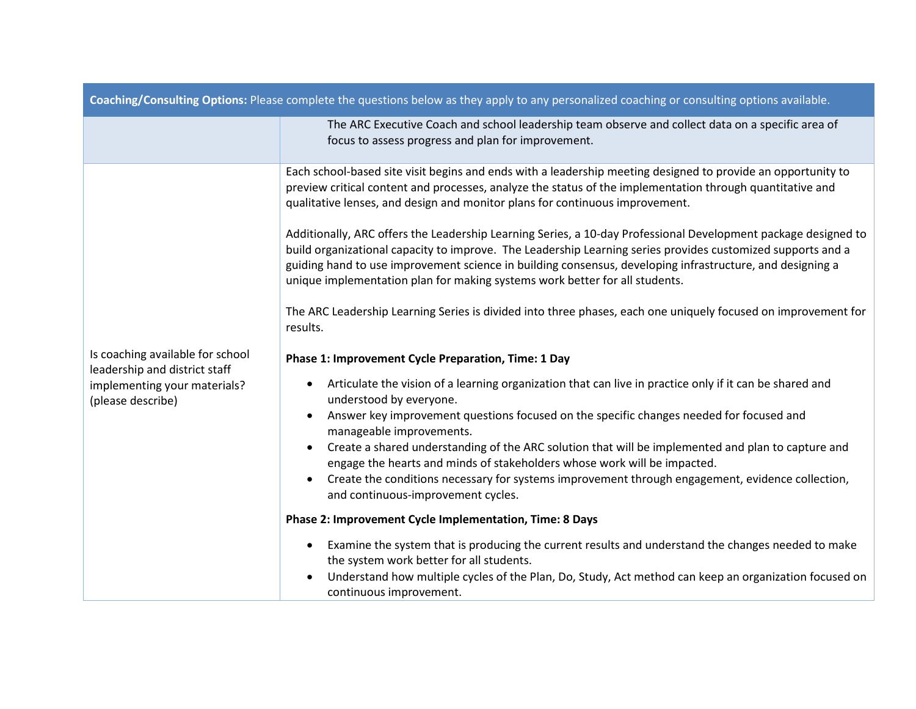| Coaching/Consulting Options: Please complete the questions below as they apply to any personalized coaching or consulting options available. |                                                                                                                                                                                                                                                                                                                                                                                                                           |  |
|----------------------------------------------------------------------------------------------------------------------------------------------|---------------------------------------------------------------------------------------------------------------------------------------------------------------------------------------------------------------------------------------------------------------------------------------------------------------------------------------------------------------------------------------------------------------------------|--|
|                                                                                                                                              | The ARC Executive Coach and school leadership team observe and collect data on a specific area of<br>focus to assess progress and plan for improvement.                                                                                                                                                                                                                                                                   |  |
| Is coaching available for school<br>leadership and district staff<br>implementing your materials?<br>(please describe)                       | Each school-based site visit begins and ends with a leadership meeting designed to provide an opportunity to<br>preview critical content and processes, analyze the status of the implementation through quantitative and<br>qualitative lenses, and design and monitor plans for continuous improvement.                                                                                                                 |  |
|                                                                                                                                              | Additionally, ARC offers the Leadership Learning Series, a 10-day Professional Development package designed to<br>build organizational capacity to improve. The Leadership Learning series provides customized supports and a<br>guiding hand to use improvement science in building consensus, developing infrastructure, and designing a<br>unique implementation plan for making systems work better for all students. |  |
|                                                                                                                                              | The ARC Leadership Learning Series is divided into three phases, each one uniquely focused on improvement for<br>results.                                                                                                                                                                                                                                                                                                 |  |
|                                                                                                                                              | Phase 1: Improvement Cycle Preparation, Time: 1 Day                                                                                                                                                                                                                                                                                                                                                                       |  |
|                                                                                                                                              | Articulate the vision of a learning organization that can live in practice only if it can be shared and<br>understood by everyone.                                                                                                                                                                                                                                                                                        |  |
|                                                                                                                                              | Answer key improvement questions focused on the specific changes needed for focused and<br>$\bullet$<br>manageable improvements.                                                                                                                                                                                                                                                                                          |  |
|                                                                                                                                              | Create a shared understanding of the ARC solution that will be implemented and plan to capture and<br>$\bullet$<br>engage the hearts and minds of stakeholders whose work will be impacted.                                                                                                                                                                                                                               |  |
|                                                                                                                                              | Create the conditions necessary for systems improvement through engagement, evidence collection,<br>and continuous-improvement cycles.                                                                                                                                                                                                                                                                                    |  |
|                                                                                                                                              | Phase 2: Improvement Cycle Implementation, Time: 8 Days                                                                                                                                                                                                                                                                                                                                                                   |  |
|                                                                                                                                              | Examine the system that is producing the current results and understand the changes needed to make<br>$\bullet$<br>the system work better for all students.                                                                                                                                                                                                                                                               |  |
|                                                                                                                                              | Understand how multiple cycles of the Plan, Do, Study, Act method can keep an organization focused on<br>continuous improvement.                                                                                                                                                                                                                                                                                          |  |